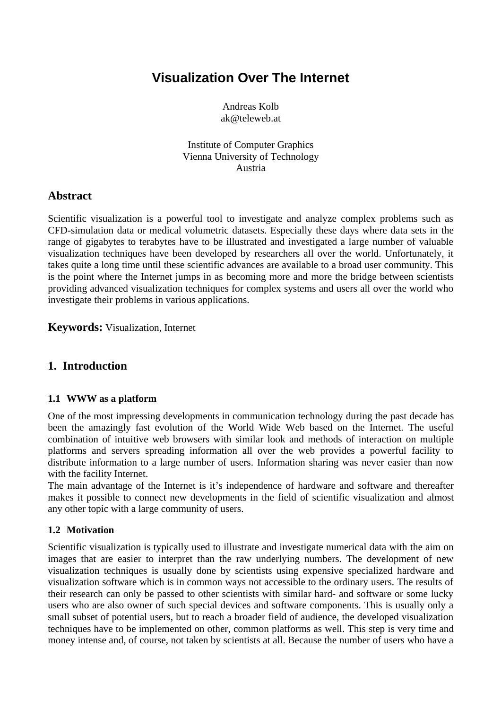# **Visualization Over The Internet**

Andreas Kolb ak@teleweb.at

Institute of Computer Graphics Vienna University of Technology Austria

## **Abstract**

Scientific visualization is a powerful tool to investigate and analyze complex problems such as CFD-simulation data or medical volumetric datasets. Especially these days where data sets in the range of gigabytes to terabytes have to be illustrated and investigated a large number of valuable visualization techniques have been developed by researchers all over the world. Unfortunately, it takes quite a long time until these scientific advances are available to a broad user community. This is the point where the Internet jumps in as becoming more and more the bridge between scientists providing advanced visualization techniques for complex systems and users all over the world who investigate their problems in various applications.

**Keywords:** Visualization, Internet

## **1. Introduction**

## **1.1 WWW as a platform**

One of the most impressing developments in communication technology during the past decade has been the amazingly fast evolution of the World Wide Web based on the Internet. The useful combination of intuitive web browsers with similar look and methods of interaction on multiple platforms and servers spreading information all over the web provides a powerful facility to distribute information to a large number of users. Information sharing was never easier than now with the facility Internet.

The main advantage of the Internet is it's independence of hardware and software and thereafter makes it possible to connect new developments in the field of scientific visualization and almost any other topic with a large community of users.

## **1.2 Motivation**

Scientific visualization is typically used to illustrate and investigate numerical data with the aim on images that are easier to interpret than the raw underlying numbers. The development of new visualization techniques is usually done by scientists using expensive specialized hardware and visualization software which is in common ways not accessible to the ordinary users. The results of their research can only be passed to other scientists with similar hard- and software or some lucky users who are also owner of such special devices and software components. This is usually only a small subset of potential users, but to reach a broader field of audience, the developed visualization techniques have to be implemented on other, common platforms as well. This step is very time and money intense and, of course, not taken by scientists at all. Because the number of users who have a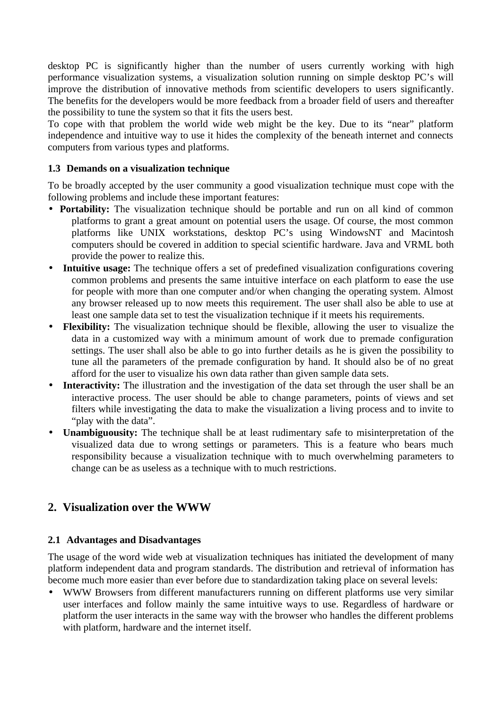desktop PC is significantly higher than the number of users currently working with high performance visualization systems, a visualization solution running on simple desktop PC's will improve the distribution of innovative methods from scientific developers to users significantly. The benefits for the developers would be more feedback from a broader field of users and thereafter the possibility to tune the system so that it fits the users best.

To cope with that problem the world wide web might be the key. Due to its "near" platform independence and intuitive way to use it hides the complexity of the beneath internet and connects computers from various types and platforms.

### **1.3 Demands on a visualization technique**

To be broadly accepted by the user community a good visualization technique must cope with the following problems and include these important features:

- **Portability:** The visualization technique should be portable and run on all kind of common platforms to grant a great amount on potential users the usage. Of course, the most common platforms like UNIX workstations, desktop PC's using WindowsNT and Macintosh computers should be covered in addition to special scientific hardware. Java and VRML both provide the power to realize this.
- **Intuitive usage:** The technique offers a set of predefined visualization configurations covering common problems and presents the same intuitive interface on each platform to ease the use for people with more than one computer and/or when changing the operating system. Almost any browser released up to now meets this requirement. The user shall also be able to use at least one sample data set to test the visualization technique if it meets his requirements.
- **Flexibility:** The visualization technique should be flexible, allowing the user to visualize the data in a customized way with a minimum amount of work due to premade configuration settings. The user shall also be able to go into further details as he is given the possibility to tune all the parameters of the premade configuration by hand. It should also be of no great afford for the user to visualize his own data rather than given sample data sets.
- **Interactivity:** The illustration and the investigation of the data set through the user shall be an interactive process. The user should be able to change parameters, points of views and set filters while investigating the data to make the visualization a living process and to invite to "play with the data".
- **Unambiguousity:** The technique shall be at least rudimentary safe to misinterpretation of the visualized data due to wrong settings or parameters. This is a feature who bears much responsibility because a visualization technique with to much overwhelming parameters to change can be as useless as a technique with to much restrictions.

## **2. Visualization over the WWW**

## **2.1 Advantages and Disadvantages**

The usage of the word wide web at visualization techniques has initiated the development of many platform independent data and program standards. The distribution and retrieval of information has become much more easier than ever before due to standardization taking place on several levels:

• WWW Browsers from different manufacturers running on different platforms use very similar user interfaces and follow mainly the same intuitive ways to use. Regardless of hardware or platform the user interacts in the same way with the browser who handles the different problems with platform, hardware and the internet itself.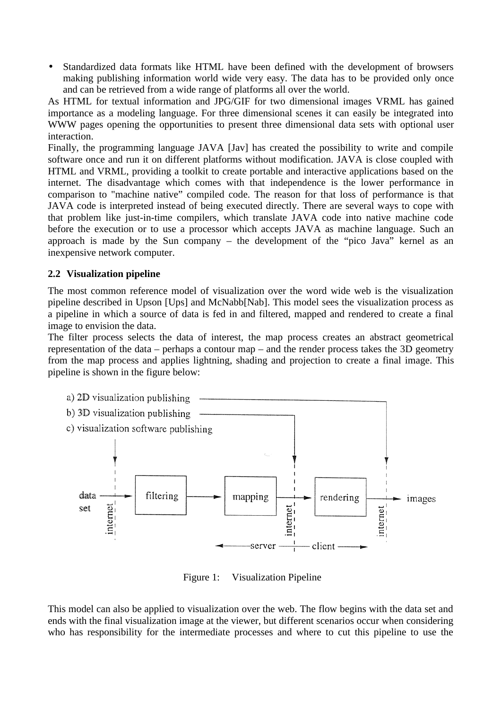Standardized data formats like HTML have been defined with the development of browsers making publishing information world wide very easy. The data has to be provided only once and can be retrieved from a wide range of platforms all over the world.

As HTML for textual information and JPG/GIF for two dimensional images VRML has gained importance as a modeling language. For three dimensional scenes it can easily be integrated into WWW pages opening the opportunities to present three dimensional data sets with optional user interaction.

Finally, the programming language JAVA [Jav] has created the possibility to write and compile software once and run it on different platforms without modification. JAVA is close coupled with HTML and VRML, providing a toolkit to create portable and interactive applications based on the internet. The disadvantage which comes with that independence is the lower performance in comparison to "machine native" compiled code. The reason for that loss of performance is that JAVA code is interpreted instead of being executed directly. There are several ways to cope with that problem like just-in-time compilers, which translate JAVA code into native machine code before the execution or to use a processor which accepts JAVA as machine language. Such an approach is made by the Sun company – the development of the "pico Java" kernel as an inexpensive network computer.

#### **2.2 Visualization pipeline**

The most common reference model of visualization over the word wide web is the visualization pipeline described in Upson [Ups] and McNabb[Nab]. This model sees the visualization process as a pipeline in which a source of data is fed in and filtered, mapped and rendered to create a final image to envision the data.

The filter process selects the data of interest, the map process creates an abstract geometrical representation of the data – perhaps a contour map – and the render process takes the 3D geometry from the map process and applies lightning, shading and projection to create a final image. This pipeline is shown in the figure below:



Figure 1: Visualization Pipeline

This model can also be applied to visualization over the web. The flow begins with the data set and ends with the final visualization image at the viewer, but different scenarios occur when considering who has responsibility for the intermediate processes and where to cut this pipeline to use the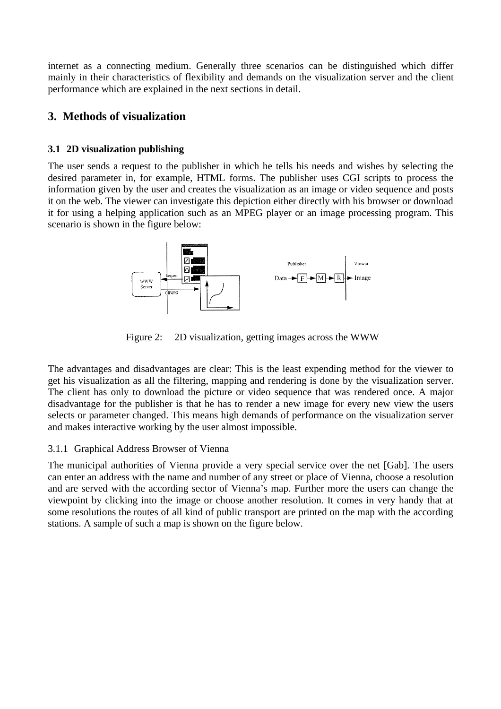internet as a connecting medium. Generally three scenarios can be distinguished which differ mainly in their characteristics of flexibility and demands on the visualization server and the client performance which are explained in the next sections in detail.

## **3. Methods of visualization**

## **3.1 2D visualization publishing**

The user sends a request to the publisher in which he tells his needs and wishes by selecting the desired parameter in, for example, HTML forms. The publisher uses CGI scripts to process the information given by the user and creates the visualization as an image or video sequence and posts it on the web. The viewer can investigate this depiction either directly with his browser or download it for using a helping application such as an MPEG player or an image processing program. This scenario is shown in the figure below:



Figure 2: 2D visualization, getting images across the WWW

The advantages and disadvantages are clear: This is the least expending method for the viewer to get his visualization as all the filtering, mapping and rendering is done by the visualization server. The client has only to download the picture or video sequence that was rendered once. A major disadvantage for the publisher is that he has to render a new image for every new view the users selects or parameter changed. This means high demands of performance on the visualization server and makes interactive working by the user almost impossible.

## 3.1.1 Graphical Address Browser of Vienna

The municipal authorities of Vienna provide a very special service over the net [Gab]. The users can enter an address with the name and number of any street or place of Vienna, choose a resolution and are served with the according sector of Vienna's map. Further more the users can change the viewpoint by clicking into the image or choose another resolution. It comes in very handy that at some resolutions the routes of all kind of public transport are printed on the map with the according stations. A sample of such a map is shown on the figure below.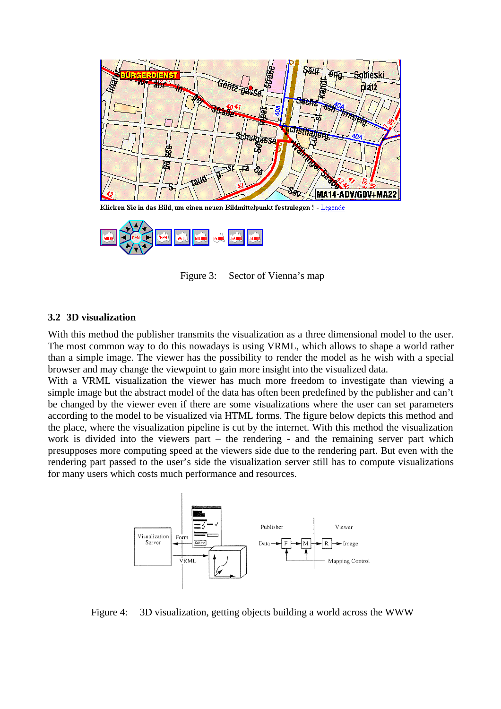



Figure 3: Sector of Vienna's map

#### **3.2 3D visualization**

With this method the publisher transmits the visualization as a three dimensional model to the user. The most common way to do this nowadays is using VRML, which allows to shape a world rather than a simple image. The viewer has the possibility to render the model as he wish with a special browser and may change the viewpoint to gain more insight into the visualized data.

With a VRML visualization the viewer has much more freedom to investigate than viewing a simple image but the abstract model of the data has often been predefined by the publisher and can't be changed by the viewer even if there are some visualizations where the user can set parameters according to the model to be visualized via HTML forms. The figure below depicts this method and the place, where the visualization pipeline is cut by the internet. With this method the visualization work is divided into the viewers part – the rendering - and the remaining server part which presupposes more computing speed at the viewers side due to the rendering part. But even with the rendering part passed to the user's side the visualization server still has to compute visualizations for many users which costs much performance and resources.



Figure 4: 3D visualization, getting objects building a world across the WWW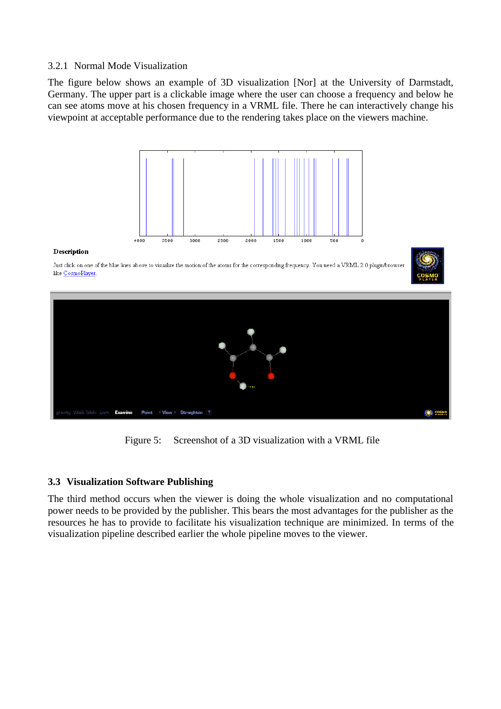#### 3.2.1 Normal Mode Visualization

The figure below shows an example of 3D visualization [Nor] at the University of Darmstadt, Germany. The upper part is a clickable image where the user can choose a frequency and below he can see atoms move at his chosen frequency in a VRML file. There he can interactively change his viewpoint at acceptable performance due to the rendering takes place on the viewers machine.



#### Description

Just click on one of the blue lines above to visualize the motion of the atoms for the corresponding frequency. You need a VRML 2.0 plugin/browser like CosmoPlayer







#### **3.3 Visualization Software Publishing**

The third method occurs when the viewer is doing the whole visualization and no computational power needs to be provided by the publisher. This bears the most advantages for the publisher as the resources he has to provide to facilitate his visualization technique are minimized. In terms of the visualization pipeline described earlier the whole pipeline moves to the viewer.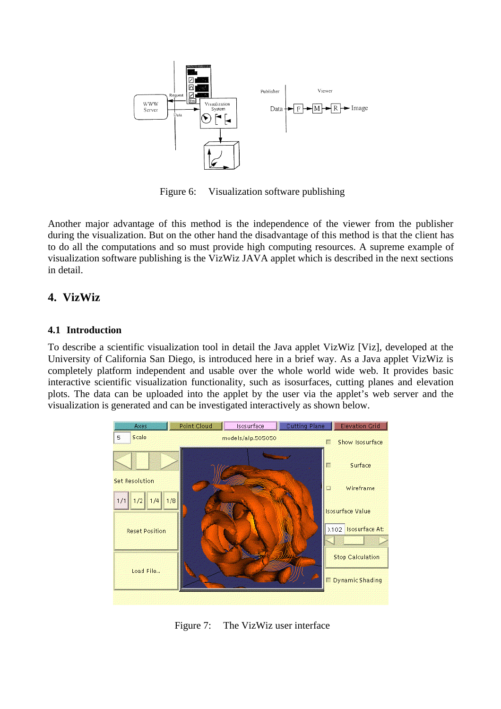

Figure 6: Visualization software publishing

Another major advantage of this method is the independence of the viewer from the publisher during the visualization. But on the other hand the disadvantage of this method is that the client has to do all the computations and so must provide high computing resources. A supreme example of visualization software publishing is the VizWiz JAVA applet which is described in the next sections in detail.

## **4. VizWiz**

#### **4.1 Introduction**

To describe a scientific visualization tool in detail the Java applet VizWiz [Viz], developed at the University of California San Diego, is introduced here in a brief way. As a Java applet VizWiz is completely platform independent and usable over the whole world wide web. It provides basic interactive scientific visualization functionality, such as isosurfaces, cutting planes and elevation plots. The data can be uploaded into the applet by the user via the applet's web server and the visualization is generated and can be investigated interactively as shown below.



Figure 7: The VizWiz user interface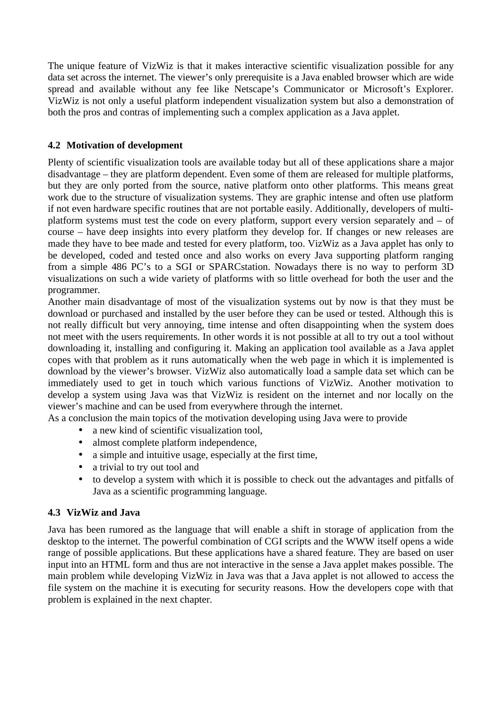The unique feature of VizWiz is that it makes interactive scientific visualization possible for any data set across the internet. The viewer's only prerequisite is a Java enabled browser which are wide spread and available without any fee like Netscape's Communicator or Microsoft's Explorer. VizWiz is not only a useful platform independent visualization system but also a demonstration of both the pros and contras of implementing such a complex application as a Java applet.

## **4.2 Motivation of development**

Plenty of scientific visualization tools are available today but all of these applications share a major disadvantage – they are platform dependent. Even some of them are released for multiple platforms, but they are only ported from the source, native platform onto other platforms. This means great work due to the structure of visualization systems. They are graphic intense and often use platform if not even hardware specific routines that are not portable easily. Additionally, developers of multiplatform systems must test the code on every platform, support every version separately and – of course – have deep insights into every platform they develop for. If changes or new releases are made they have to bee made and tested for every platform, too. VizWiz as a Java applet has only to be developed, coded and tested once and also works on every Java supporting platform ranging from a simple 486 PC's to a SGI or SPARCstation. Nowadays there is no way to perform 3D visualizations on such a wide variety of platforms with so little overhead for both the user and the programmer.

Another main disadvantage of most of the visualization systems out by now is that they must be download or purchased and installed by the user before they can be used or tested. Although this is not really difficult but very annoying, time intense and often disappointing when the system does not meet with the users requirements. In other words it is not possible at all to try out a tool without downloading it, installing and configuring it. Making an application tool available as a Java applet copes with that problem as it runs automatically when the web page in which it is implemented is download by the viewer's browser. VizWiz also automatically load a sample data set which can be immediately used to get in touch which various functions of VizWiz. Another motivation to develop a system using Java was that VizWiz is resident on the internet and nor locally on the viewer's machine and can be used from everywhere through the internet.

As a conclusion the main topics of the motivation developing using Java were to provide

- a new kind of scientific visualization tool.
- almost complete platform independence,
- a simple and intuitive usage, especially at the first time,
- a trivial to try out tool and
- to develop a system with which it is possible to check out the advantages and pitfalls of Java as a scientific programming language.

## **4.3 VizWiz and Java**

Java has been rumored as the language that will enable a shift in storage of application from the desktop to the internet. The powerful combination of CGI scripts and the WWW itself opens a wide range of possible applications. But these applications have a shared feature. They are based on user input into an HTML form and thus are not interactive in the sense a Java applet makes possible. The main problem while developing VizWiz in Java was that a Java applet is not allowed to access the file system on the machine it is executing for security reasons. How the developers cope with that problem is explained in the next chapter.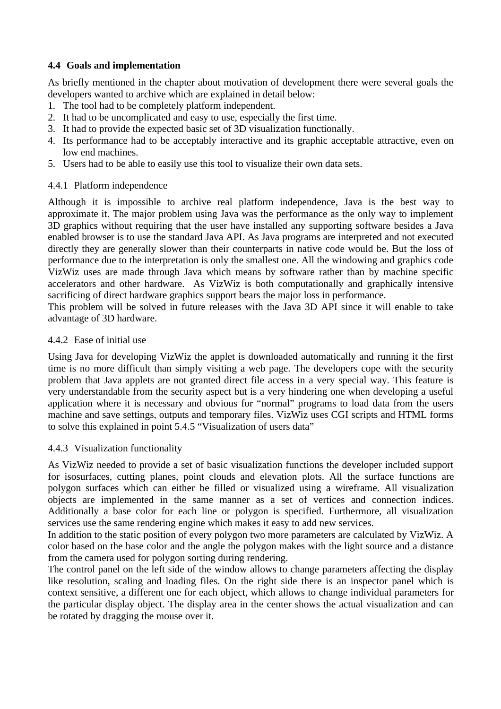## **4.4 Goals and implementation**

As briefly mentioned in the chapter about motivation of development there were several goals the developers wanted to archive which are explained in detail below:

- 1. The tool had to be completely platform independent.
- 2. It had to be uncomplicated and easy to use, especially the first time.
- 3. It had to provide the expected basic set of 3D visualization functionally.
- 4. Its performance had to be acceptably interactive and its graphic acceptable attractive, even on low end machines.
- 5. Users had to be able to easily use this tool to visualize their own data sets.

#### 4.4.1 Platform independence

Although it is impossible to archive real platform independence, Java is the best way to approximate it. The major problem using Java was the performance as the only way to implement 3D graphics without requiring that the user have installed any supporting software besides a Java enabled browser is to use the standard Java API. As Java programs are interpreted and not executed directly they are generally slower than their counterparts in native code would be. But the loss of performance due to the interpretation is only the smallest one. All the windowing and graphics code VizWiz uses are made through Java which means by software rather than by machine specific accelerators and other hardware. As VizWiz is both computationally and graphically intensive sacrificing of direct hardware graphics support bears the major loss in performance.

This problem will be solved in future releases with the Java 3D API since it will enable to take advantage of 3D hardware.

#### 4.4.2 Ease of initial use

Using Java for developing VizWiz the applet is downloaded automatically and running it the first time is no more difficult than simply visiting a web page. The developers cope with the security problem that Java applets are not granted direct file access in a very special way. This feature is very understandable from the security aspect but is a very hindering one when developing a useful application where it is necessary and obvious for "normal" programs to load data from the users machine and save settings, outputs and temporary files. VizWiz uses CGI scripts and HTML forms to solve this explained in point 5.4.5 "Visualization of users data"

#### 4.4.3 Visualization functionality

As VizWiz needed to provide a set of basic visualization functions the developer included support for isosurfaces, cutting planes, point clouds and elevation plots. All the surface functions are polygon surfaces which can either be filled or visualized using a wireframe. All visualization objects are implemented in the same manner as a set of vertices and connection indices. Additionally a base color for each line or polygon is specified. Furthermore, all visualization services use the same rendering engine which makes it easy to add new services.

In addition to the static position of every polygon two more parameters are calculated by VizWiz. A color based on the base color and the angle the polygon makes with the light source and a distance from the camera used for polygon sorting during rendering.

The control panel on the left side of the window allows to change parameters affecting the display like resolution, scaling and loading files. On the right side there is an inspector panel which is context sensitive, a different one for each object, which allows to change individual parameters for the particular display object. The display area in the center shows the actual visualization and can be rotated by dragging the mouse over it.